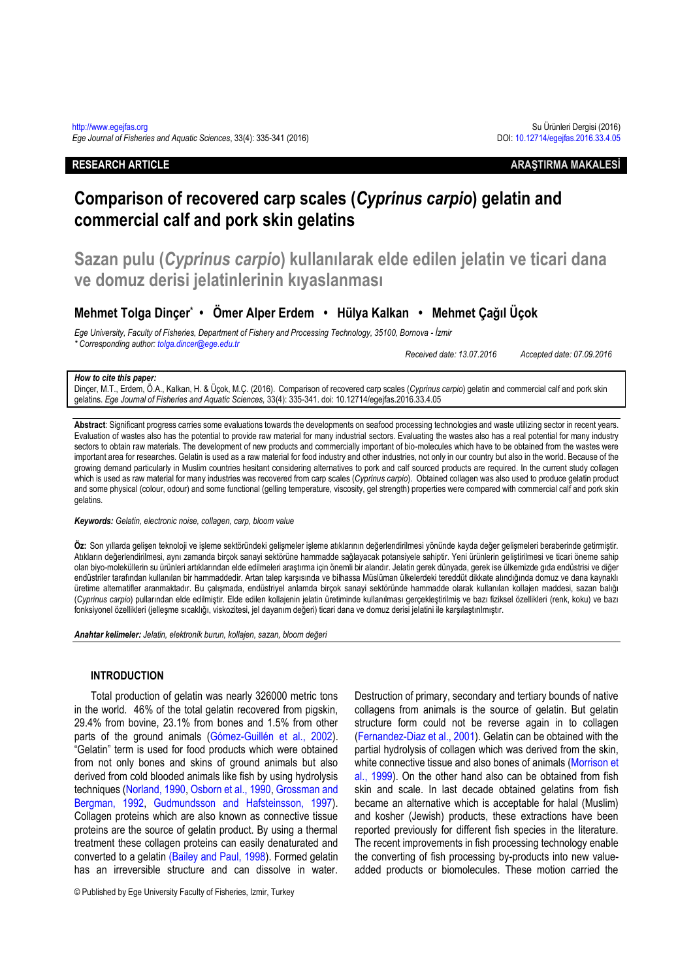# **RESEARCH ARTICLE ARAŞTIRMA MAKALESİ**

# **Comparison of recovered carp scales (***Cyprinus carpio***) gelatin and commercial calf and pork skin gelatins**

**Sazan pulu (***Cyprinus carpio***) kullanılarak elde edilen jelatin ve ticari dana ve domuz derisi jelatinlerinin kıyaslanması**

# **Mehmet Tolga Dinçer\* • Ömer Alper Erdem • Hülya Kalkan • Mehmet Çağıl Üçok**

*Ege University, Faculty of Fisheries, Department of Fishery and Processing Technology, 35100, Bornova - İzmir \* Corresponding author[: tolga.dincer@ege.edu.tr](mailto:tolga.dincer@ege.edu.tr)*

*Received date: 13.07.2016 Accepted date: 07.09.2016*

#### *How to cite this paper:*

Dinçer, M.T., Erdem, Ö.A., Kalkan, H. & Üçok, M.Ç. (2016). Comparison of recovered carp scales (*Cyprinus carpio*) gelatin and commercial calf and pork skin gelatins. *Ege Journal of Fisheries and Aquatic Sciences,* 33(4): 335-341. doi: 10.12714/egejfas.2016.33.4.05

**Abstract**: Significant progress carries some evaluations towards the developments on seafood processing technologies and waste utilizing sector in recent years. Evaluation of wastes also has the potential to provide raw material for many industrial sectors. Evaluating the wastes also has a real potential for many industry sectors to obtain raw materials. The development of new products and commercially important of bio-molecules which have to be obtained from the wastes were important area for researches. Gelatin is used as a raw material for food industry and other industries, not only in our country but also in the world. Because of the growing demand particularly in Muslim countries hesitant considering alternatives to pork and calf sourced products are required. In the current study collagen which is used as raw material for many industries was recovered from carp scales (*Cyprinus carpio*). Obtained collagen was also used to produce gelatin product and some physical (colour, odour) and some functional (gelling temperature, viscosity, gel strength) properties were compared with commercial calf and pork skin gelatins.

*Keywords: Gelatin, electronic noise, collagen, carp, bloom value*

**Öz:** Son yıllarda gelişen teknoloji ve işleme sektöründeki gelişmeler işleme atıklarının değerlendirilmesi yönünde kayda değer gelişmeleri beraberinde getirmiştir. Atıkların değerlendirilmesi, aynı zamanda birçok sanayi sektörüne hammadde sağlayacak potansiyele sahiptir. Yeni ürünlerin geliştirilmesi ve ticari öneme sahip olan biyo-moleküllerin su ürünleri artıklarından elde edilmeleri araştırma için önemli bir alandır. Jelatin gerek dünyada, gerek ise ülkemizde gıda endüstrisi ve diğer endüstriler tarafından kullanılan bir hammaddedir. Artan talep karşısında ve bilhassa Müslüman ülkelerdeki tereddüt dikkate alındığında domuz ve dana kaynaklı üretime alternatifler aranmaktadır. Bu çalışmada, endüstriyel anlamda birçok sanayi sektöründe hammadde olarak kullanılan kollajen maddesi, sazan balığı (*Cyprinus carpio*) pullarından elde edilmiştir. Elde edilen kollajenin jelatin üretiminde kullanılması gerçekleştirilmiş ve bazı fiziksel özellikleri (renk, koku) ve bazı fonksiyonel özellikleri (jelleşme sıcaklığı, viskozitesi, jel dayanım değeri) ticari dana ve domuz derisi jelatini ile karşılaştırılmıştır.

*Anahtar kelimeler: Jelatin, elektronik burun, kollajen, sazan, bloom değeri*

#### **INTRODUCTION**

Total production of gelatin was nearly 326000 metric tons in the world. 46% of the total gelatin recovered from pigskin, 29.4% from bovine, 23.1% from bones and 1.5% from other parts of the ground animals (Gómez-Guillén et al., 2002). "Gelatin" term is used for food products which were obtained from not only bones and skins of ground animals but also derived from cold blooded animals like fish by using hydrolysis techniques (Norland, 1990, Osborn et al., 1990, Grossman and Bergman, 1992, Gudmundsson and Hafsteinsson, 1997). Collagen proteins which are also known as connective tissue proteins are the source of gelatin product. By using a thermal treatment these collagen proteins can easily denaturated and converted to a gelatin (Bailey and Paul, 1998). Formed gelatin has an irreversible structure and can dissolve in water.

© Published by Ege University Faculty of Fisheries, Izmir, Turkey

Destruction of primary, secondary and tertiary bounds of native collagens from animals is the source of gelatin. But gelatin structure form could not be reverse again in to collagen (Fernandez-Diaz et al., 2001). Gelatin can be obtained with the partial hydrolysis of collagen which was derived from the skin, white connective tissue and also bones of animals (Morrison et al., 1999). On the other hand also can be obtained from fish skin and scale. In last decade obtained gelatins from fish became an alternative which is acceptable for halal (Muslim) and kosher (Jewish) products, these extractions have been reported previously for different fish species in the literature. The recent improvements in fish processing technology enable the converting of fish processing by-products into new valueadded products or biomolecules. These motion carried the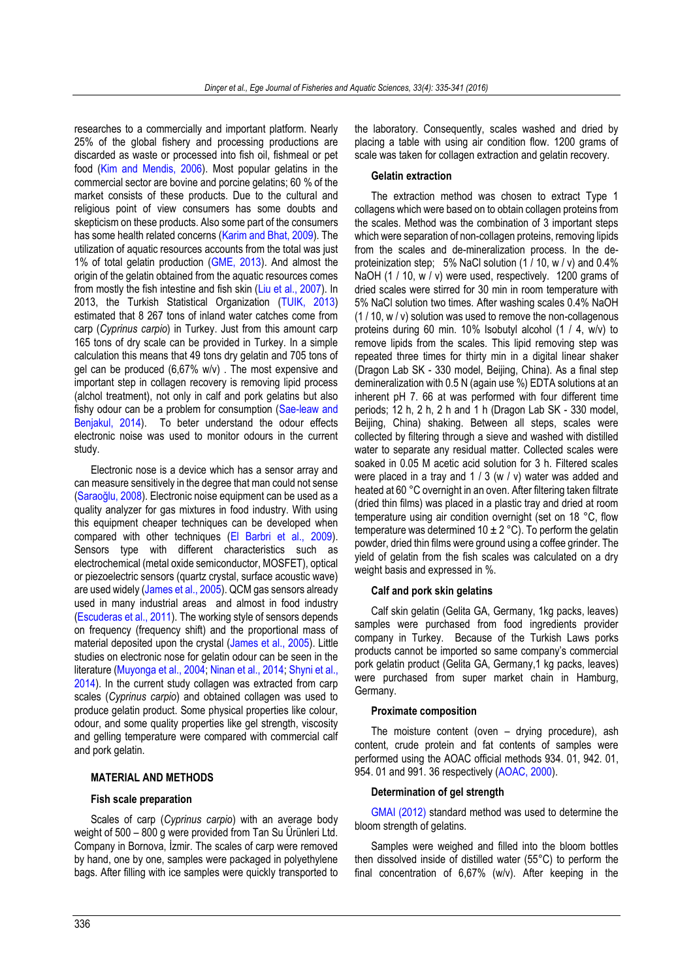researches to a commercially and important platform. Nearly 25% of the global fishery and processing productions are discarded as waste or processed into fish oil, fishmeal or pet food (Kim and Mendis, 2006). Most popular gelatins in the commercial sector are bovine and porcine gelatins; 60 % of the market consists of these products. Due to the cultural and religious point of view consumers has some doubts and skepticism on these products. Also some part of the consumers has some health related concerns (Karim and Bhat, 2009). The utilization of aquatic resources accounts from the total was just 1% of total gelatin production (GME, 2013). And almost the origin of the gelatin obtained from the aquatic resources comes from mostly the fish intestine and fish skin (Liu et al., 2007). In 2013, the Turkish Statistical Organization (TUIK, 2013) estimated that 8 267 tons of inland water catches come from carp (*Cyprinus carpio*) in Turkey. Just from this amount carp 165 tons of dry scale can be provided in Turkey. In a simple calculation this means that 49 tons dry gelatin and 705 tons of gel can be produced (6,67% w/v) . The most expensive and important step in collagen recovery is removing lipid process (alchol treatment), not only in calf and pork gelatins but also fishy odour can be a problem for consumption (Sae-leaw and Benjakul, 2014). To beter understand the odour effects electronic noise was used to monitor odours in the current study.

Electronic nose is a device which has a sensor array and can measure sensitively in the degree that man could not sense (Saraoğlu, 2008). Electronic noise equipment can be used as a quality analyzer for gas mixtures in food industry. With using this equipment cheaper techniques can be developed when compared with other techniques (El Barbri et al., 2009). Sensors type with different characteristics such as electrochemical (metal oxide semiconductor, MOSFET), optical or piezoelectric sensors (quartz crystal, surface acoustic wave) are used widely (James et al., 2005). QCM gas sensors already used in many industrial areas and almost in food industry (Escuderas et al., 2011). The working style of sensors depends on frequency (frequency shift) and the proportional mass of material deposited upon the crystal (James et al., 2005). Little studies on electronic nose for gelatin odour can be seen in the literature (Muyonga et al., 2004; Ninan et al., 2014; Shyni et al., 2014). In the current study collagen was extracted from carp scales (*Cyprinus carpio*) and obtained collagen was used to produce gelatin product. Some physical properties like colour, odour, and some quality properties like gel strength, viscosity and gelling temperature were compared with commercial calf and pork gelatin.

# **MATERIAL AND METHODS**

#### **Fish scale preparation**

Scales of carp (*Cyprinus carpio*) with an average body weight of 500 – 800 g were provided from Tan Su Ürünleri Ltd. Company in Bornova, İzmir. The scales of carp were removed by hand, one by one, samples were packaged in polyethylene bags. After filling with ice samples were quickly transported to

the laboratory. Consequently, scales washed and dried by placing a table with using air condition flow. 1200 grams of scale was taken for collagen extraction and gelatin recovery.

#### **Gelatin extraction**

The extraction method was chosen to extract Type 1 collagens which were based on to obtain collagen proteins from the scales. Method was the combination of 3 important steps which were separation of non-collagen proteins, removing lipids from the scales and de-mineralization process. In the deproteinization step:  $5\%$  NaCl solution (1 / 10, w / v) and 0.4% NaOH (1 / 10, w / v) were used, respectively. 1200 grams of dried scales were stirred for 30 min in room temperature with 5% NaCl solution two times. After washing scales 0.4% NaOH (1 / 10, w / v) solution was used to remove the non-collagenous proteins during 60 min. 10% Isobutyl alcohol (1 / 4, w/v) to remove lipids from the scales. This lipid removing step was repeated three times for thirty min in a digital linear shaker (Dragon Lab SK - 330 model, Beijing, China). As a final step demineralization with 0.5 N (again use %) EDTA solutions at an inherent pH 7. 66 at was performed with four different time periods; 12 h, 2 h, 2 h and 1 h (Dragon Lab SK - 330 model, Beijing, China) shaking. Between all steps, scales were collected by filtering through a sieve and washed with distilled water to separate any residual matter. Collected scales were soaked in 0.05 M acetic acid solution for 3 h. Filtered scales were placed in a tray and 1 / 3 (w / v) water was added and heated at 60 °C overnight in an oven. After filtering taken filtrate (dried thin films) was placed in a plastic tray and dried at room temperature using air condition overnight (set on 18 °C, flow temperature was determined 10  $\pm$  2 °C). To perform the gelatin powder, dried thin films were ground using a coffee grinder. The yield of gelatin from the fish scales was calculated on a dry weight basis and expressed in %.

# **Calf and pork skin gelatins**

Calf skin gelatin (Gelita GA, Germany, 1kg packs, leaves) samples were purchased from food ingredients provider company in Turkey. Because of the Turkish Laws porks products cannot be imported so same company's commercial pork gelatin product (Gelita GA, Germany,1 kg packs, leaves) were purchased from super market chain in Hamburg, Germany.

#### **Proximate composition**

The moisture content (oven – drying procedure), ash content, crude protein and fat contents of samples were performed using the AOAC official methods 934. 01, 942. 01, 954. 01 and 991. 36 respectively (AOAC, 2000).

#### **Determination of gel strength**

GMAI (2012) [standard method was used to determine the](#page-6-0)  [bloom strength of gelatins.](#page-6-0)

Samples were weighed and filled into the bloom bottles then dissolved inside of distilled water (55°C) to perform the final concentration of 6,67% (w/v). After keeping in the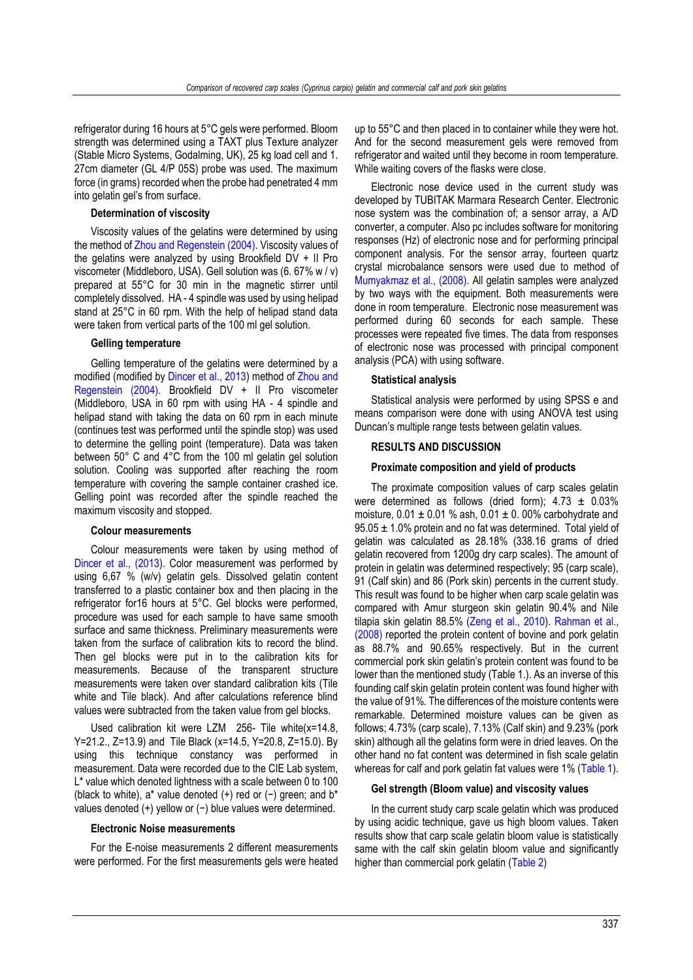refrigerator during 16 hours at 5°C gels were performed. Bloom strength was determined using a TAXT plus Texture analyzer (Stable Micro Systems, Godalming, UK), 25 kg load cell and 1. 27cm diameter (GL 4/P 05S) probe was used. The maximum force (in grams) recorded when the probe had penetrated 4 mm into gelatin gel's from surface.

# **Determination of viscosity**

Viscosity values of the gelatins were determined by using the method of Zhou and Regenstein (2004). Viscosity values of the gelatins were analyzed by using Brookfield DV + II Pro viscometer (Middleboro, USA). Gell solution was (6. 67% w / v) prepared at 55°C for 30 min in the magnetic stirrer until completely dissolved. HA - 4 spindle was used by using helipad stand at 25°C in 60 rpm. With the help of helipad stand data were taken from vertical parts of the 100 ml gel solution.

## **Gelling temperature**

Gelling temperature of the gelatins were determined by a modified (modified by Dincer et al., 2013) method of Zhou and Regenstein (2004). Brookfield DV + II Pro viscometer (Middleboro, USA in 60 rpm with using HA - 4 spindle and helipad stand with taking the data on 60 rpm in each minute (continues test was performed until the spindle stop) was used to determine the gelling point (temperature). Data was taken between 50° C and 4°C from the 100 ml gelatin gel solution solution. Cooling was supported after reaching the room temperature with covering the sample container crashed ice. Gelling point was recorded after the spindle reached the maximum viscosity and stopped.

# **Colour measurements**

Colour measurements were taken by using method of Dincer et al., (2013). Color measurement was performed by using 6,67 % (w/v) gelatin gels. Dissolved gelatin content transferred to a plastic container box and then placing in the refrigerator for16 hours at 5°C. Gel blocks were performed, procedure was used for each sample to have same smooth surface and same thickness. Preliminary measurements were taken from the surface of calibration kits to record the blind. Then gel blocks were put in to the calibration kits for measurements. Because of the transparent structure measurements were taken over standard calibration kits (Tile white and Tile black). And after calculations reference blind values were subtracted from the taken value from gel blocks.

Used calibration kit were LZM 256- Tile white(x=14.8, Y=21.2., Z=13.9) and Tile Black (x=14.5, Y=20.8, Z=15.0). By using this technique constancy was performed in measurement. Data were recorded due to the CIE Lab system, L<sup>\*</sup> value which denoted lightness with a scale between 0 to 100 (black to white), a\* value denoted (+) red or (−) green; and b\* values denoted (+) yellow or (−) blue values were determined.

#### **Electronic Noise measurements**

For the E-noise measurements 2 different measurements were performed. For the first measurements gels were heated up to 55°C and then placed in to container while they were hot. And for the second measurement gels were removed from refrigerator and waited until they become in room temperature. While waiting covers of the flasks were close.

Electronic nose device used in the current study was developed by TUBITAK Marmara Research Center. Electronic nose system was the combination of; a sensor array, a A/D converter, a computer. Also pc includes software for monitoring responses (Hz) of electronic nose and for performing principal component analysis. For the sensor array, fourteen quartz crystal microbalance sensors were used due to method of Mumyakmaz et al., (2008). All gelatin samples were analyzed by two ways with the equipment. Both measurements were done in room temperature. Electronic nose measurement was performed during 60 seconds for each sample. These processes were repeated five times. The data from responses of electronic nose was processed with principal component analysis (PCA) with using software.

#### **Statistical analysis**

Statistical analysis were performed by using SPSS e and means comparison were done with using ANOVA test using Duncan's multiple range tests between gelatin values.

#### **RESULTS AND DISCUSSION**

#### **Proximate composition and yield of products**

The proximate composition values of carp scales gelatin were determined as follows (dried form);  $4.73 \pm 0.03\%$ moisture,  $0.01 \pm 0.01$  % ash,  $0.01 \pm 0.00$ % carbohydrate and  $95.05 \pm 1.0\%$  protein and no fat was determined. Total yield of gelatin was calculated as 28.18% (338.16 grams of dried gelatin recovered from 1200g dry carp scales). The amount of protein in gelatin was determined respectively; 95 (carp scale), 91 (Calf skin) and 86 (Pork skin) percents in the current study. This result was found to be higher when carp scale gelatin was compared with Amur sturgeon skin gelatin 90.4% and Nile tilapia skin gelatin 88.5% (Zeng et al., 2010). Rahman et al., (2008) reported the protein content of bovine and pork gelatin as 88.7% and 90.65% respectively. But in the current commercial pork skin gelatin's protein content was found to be lower than the mentioned study (Table 1.). As an inverse of this founding calf skin gelatin protein content was found higher with the value of 91%. The differences of the moisture contents were remarkable. Determined moisture values can be given as follows; 4.73% (carp scale), 7.13% (Calf skin) and 9.23% (pork skin) although all the gelatins form were in dried leaves. On the other hand no fat content was determined in fish scale gelatin whereas for calf and pork gelatin fat values were 1% (Table 1).

## **Gel strength (Bloom value) and viscosity values**

In the current study carp scale gelatin which was produced by using acidic technique, gave us high bloom values. Taken results show that carp scale gelatin bloom value is statistically same with the calf skin gelatin bloom value and significantly higher than commercial pork gelatin (Table 2)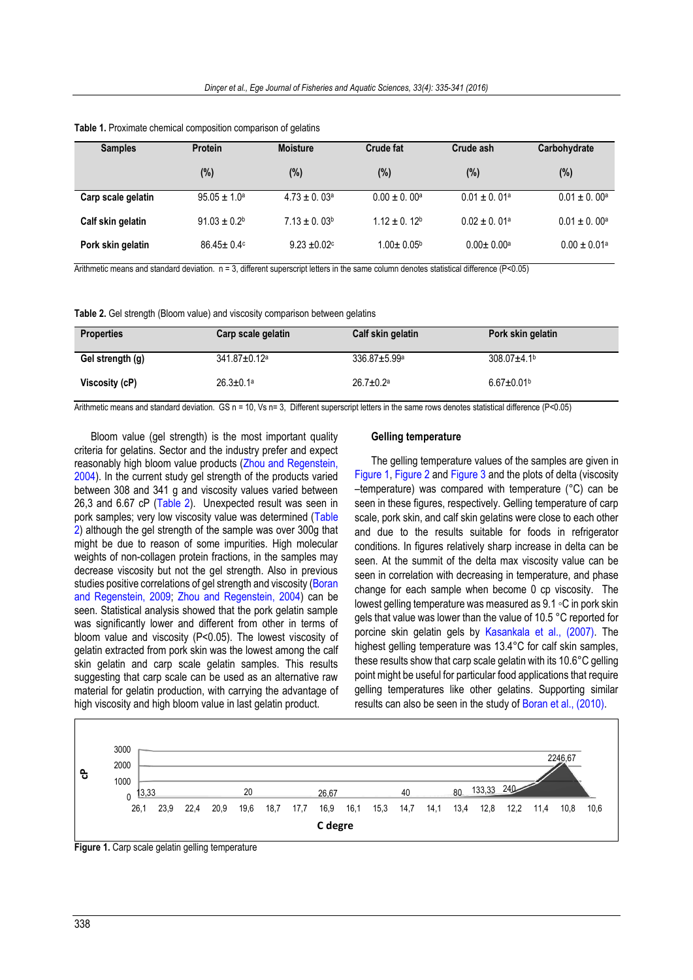| <b>Samples</b>     | <b>Protein</b>    | <b>Moisture</b>              | Crude fat               | Crude ash                    | Carbohydrate                 |
|--------------------|-------------------|------------------------------|-------------------------|------------------------------|------------------------------|
|                    | (%)               | $(\%)$                       | (%)                     | (%)                          | (%)                          |
| Carp scale gelatin | $95.05 \pm 1.0^a$ | $4.73 \pm 0.03$ <sup>a</sup> | $0.00 + 0.00^a$         | $0.01 + 0.01a$               | $0.01 + 0.00a$               |
| Calf skin gelatin  | $91.03 \pm 0.2^b$ | $7.13 \pm 0.03^b$            | $1.12 \pm 0.12^b$       | $0.02 + 0.01a$               | $0.01 \pm 0.00^a$            |
| Pork skin gelatin  | $86.45 \pm 0.4$   | $9.23 \pm 0.02$ °            | $1.00 \pm 0.05^{\circ}$ | $0.00 \pm 0.00$ <sup>a</sup> | $0.00 \pm 0.01$ <sup>a</sup> |

**Table 1.** Proximate chemical composition comparison of gelatins

Arithmetic means and standard deviation. n = 3, different superscript letters in the same column denotes statistical difference (P<0.05)

**Table 2.** Gel strength (Bloom value) and viscosity comparison between gelatins

| <b>Properties</b> | Carp scale gelatin             | Calf skin gelatin              | Pork skin gelatin             |
|-------------------|--------------------------------|--------------------------------|-------------------------------|
| Gel strength (g)  | $341.87 \pm 0.12$ <sup>a</sup> | $336.87 \pm 5.99$ <sup>a</sup> | $308.07 \pm 4.1$ <sup>b</sup> |
| Viscosity (cP)    | $26.3 \pm 0.1$ <sup>a</sup>    | $26.7 \pm 0.2^a$               | $6.67 \pm 0.01$ <sup>b</sup>  |

Arithmetic means and standard deviation. GS n = 10, Vs n= 3, Different superscript letters in the same rows denotes statistical difference (P<0.05)

Bloom value (gel strength) is the most important quality criteria for gelatins. Sector and the industry prefer and expect reasonably high bloom value products (Zhou and Regenstein, 2004). In the current study gel strength of the products varied between 308 and 341 g and viscosity values varied between 26,3 and 6.67 cP (Table 2). Unexpected result was seen in pork samples; very low viscosity value was determined (Table 2) although the gel strength of the sample was over 300g that might be due to reason of some impurities. High molecular weights of non-collagen protein fractions, in the samples may decrease viscosity but not the gel strength. Also in previous studies positive correlations of gel strength and viscosity (Boran and Regenstein, 2009; Zhou and Regenstein, 2004) can be seen. Statistical analysis showed that the pork gelatin sample was significantly lower and different from other in terms of bloom value and viscosity (P<0.05). The lowest viscosity of gelatin extracted from pork skin was the lowest among the calf skin gelatin and carp scale gelatin samples. This results suggesting that carp scale can be used as an alternative raw material for gelatin production, with carrying the advantage of high viscosity and high bloom value in last gelatin product.

#### **Gelling temperature**

<span id="page-3-1"></span>The gelling temperature values of the samples are given in [Figure 1,](#page-3-0) [Figure 2](#page-4-0) an[d Figure 3](#page-3-1) and the plots of delta (viscosity –temperature) was compared with temperature (°C) can be seen in these figures, respectively. Gelling temperature of carp scale, pork skin, and calf skin gelatins were close to each other and due to the results suitable for foods in refrigerator conditions. In figures relatively sharp increase in delta can be seen. At the summit of the delta max viscosity value can be seen in correlation with decreasing in temperature, and phase change for each sample when become 0 cp viscosity. The lowest gelling temperature was measured as 9.1 ◦C in pork skin gels that value was lower than the value of 10.5 °C reported for porcine skin gelatin gels by [Kasankala et al.,](#page-6-1) (2007). The highest gelling temperature was 13.4°C for calf skin samples. these results show that carp scale gelatin with its 10.6°C gelling point might be useful for particular food applications that require gelling temperatures like other gelatins. Supporting similar results can also be seen in the study of [Boran et al.,](#page-6-2) (2010).



<span id="page-3-0"></span>**Figure 1.** Carp scale gelatin gelling temperature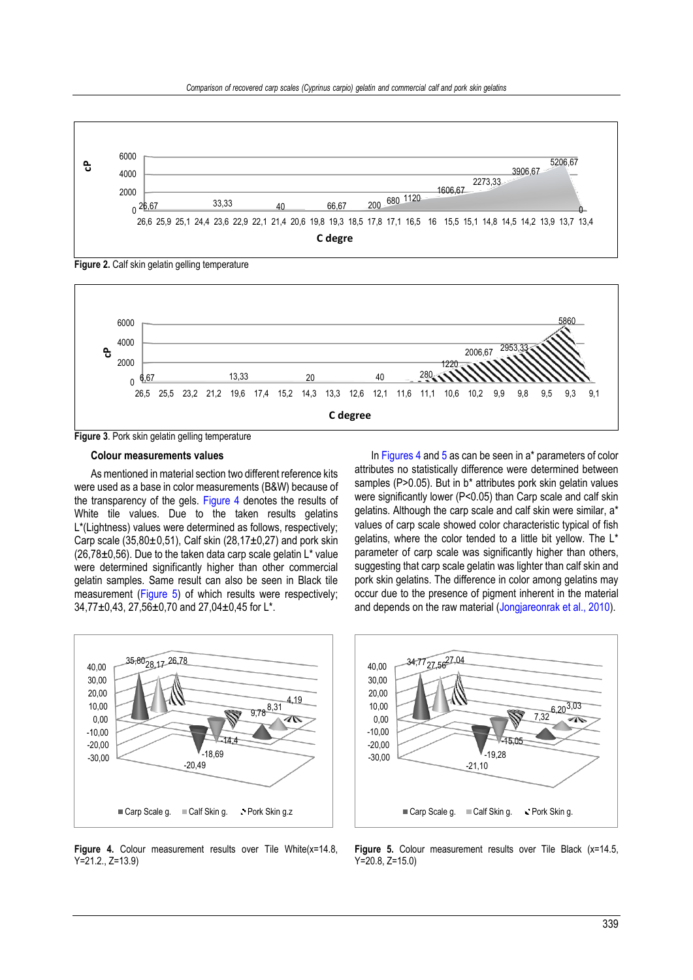

<span id="page-4-0"></span>**Figure 2.** Calf skin gelatin gelling temperature



**Figure 3**. Pork skin gelatin gelling temperature

# **Colour measurements values**

As mentioned in material section two different reference kits were used as a base in color measurements (B&W) because of the transparency of the gels. [Figure 4](#page-4-1) denotes the results of White tile values. Due to the taken results gelatins L\*(Lightness) values were determined as follows, respectively; Carp scale (35,80 $\pm$ 0,51), Calf skin (28,17 $\pm$ 0,27) and pork skin  $(26,78\pm0,56)$ . Due to the taken data carp scale gelatin L<sup>\*</sup> value were determined significantly higher than other commercial gelatin samples. Same result can also be seen in Black tile measurement [\(Figure 5\)](#page-4-2) of which results were respectively; 34,77±0,43, 27,56±0,70 and 27,04±0,45 for L\*.

In Figures 4 and 5 as can be seen in a\* parameters of color attributes no statistically difference were determined between samples (P>0.05). But in b\* attributes pork skin gelatin values were significantly lower (P<0.05) than Carp scale and calf skin gelatins. Although the carp scale and calf skin were similar, a\* values of carp scale showed color characteristic typical of fish gelatins, where the color tended to a little bit yellow. The L\* parameter of carp scale was significantly higher than others, suggesting that carp scale gelatin was lighter than calf skin and pork skin gelatins. The difference in color among gelatins may occur due to the presence of pigment inherent in the material and depends on the raw material (Jongjareonrak et al., 2010).



<span id="page-4-1"></span>Figure 4. Colour measurement results over Tile White(x=14.8, Y=21.2., Z=13.9)



<span id="page-4-2"></span>**Figure 5.** Colour measurement results over Tile Black (x=14.5, Y=20.8, Z=15.0)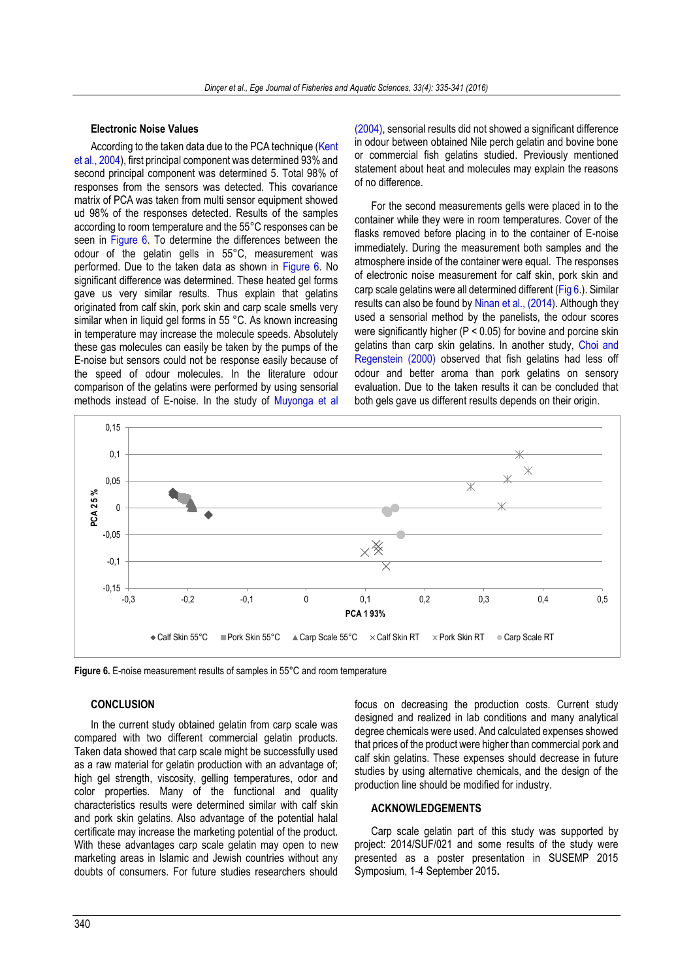# **Electronic Noise Values**

According to the taken data due to the PCA technique (Kent et al., 2004), first principal component was determined 93% and second principal component was determined 5. Total 98% of responses from the sensors was detected. This covariance matrix of PCA was taken from multi sensor equipment showed ud 98% of the responses detected. Results of the samples according to room temperature and the 55°C responses can be seen in Figure 6. To determine the differences between the odour of the gelatin gells in 55°C, measurement was performed. Due to the taken data as shown in Figure 6. No significant difference was determined. These heated gel forms gave us very similar results. Thus explain that gelatins originated from calf skin, pork skin and carp scale smells very similar when in liquid gel forms in 55 °C. As known increasing in temperature may increase the molecule speeds. Absolutely these gas molecules can easily be taken by the pumps of the E-noise but sensors could not be response easily because of the speed of odour molecules. In the literature odour comparison of the gelatins were performed by using sensorial methods instead of E-noise. In the study of Muyonga et al

(2004), sensorial results did not showed a significant difference in odour between obtained Nile perch gelatin and bovine bone or commercial fish gelatins studied. Previously mentioned statement about heat and molecules may explain the reasons of no difference.

For the second measurements gells were placed in to the container while they were in room temperatures. Cover of the flasks removed before placing in to the container of E-noise immediately. During the measurement both samples and the atmosphere inside of the container were equal. The responses of electronic noise measurement for calf skin, pork skin and carp scale gelatins were all determined different (Fig 6.). Similar results can also be found by Ninan et al., (2014). Although they used a sensorial method by the panelists, the odour scores were significantly higher (P < 0.05) for bovine and porcine skin gelatins than carp skin gelatins. In another study, Choi and Regenstein (2000) observed that fish gelatins had less off odour and better aroma than pork gelatins on sensory evaluation. Due to the taken results it can be concluded that both gels gave us different results depends on their origin.



**Figure 6.** E-noise measurement results of samples in 55°C and room temperature

# **CONCLUSION**

In the current study obtained gelatin from carp scale was compared with two different commercial gelatin products. Taken data showed that carp scale might be successfully used as a raw material for gelatin production with an advantage of; high gel strength, viscosity, gelling temperatures, odor and color properties. Many of the functional and quality characteristics results were determined similar with calf skin and pork skin gelatins. Also advantage of the potential halal certificate may increase the marketing potential of the product. With these advantages carp scale gelatin may open to new marketing areas in Islamic and Jewish countries without any doubts of consumers. For future studies researchers should

focus on decreasing the production costs. Current study designed and realized in lab conditions and many analytical degree chemicals were used. And calculated expenses showed that prices of the product were higher than commercial pork and calf skin gelatins. These expenses should decrease in future studies by using alternative chemicals, and the design of the production line should be modified for industry.

# **ACKNOWLEDGEMENTS**

Carp scale gelatin part of this study was supported by project: 2014/SUF/021 and some results of the study were presented as a poster presentation in SUSEMP 2015 Symposium, 1-4 September 2015**.**